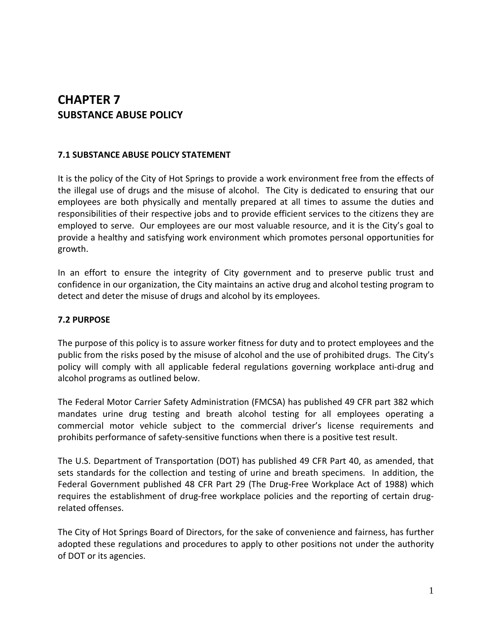# **CHAPTER 7 SUBSTANCE ABUSE POLICY**

## **7.1 SUBSTANCE ABUSE POLICY STATEMENT**

It is the policy of the City of Hot Springs to provide a work environment free from the effects of the illegal use of drugs and the misuse of alcohol. The City is dedicated to ensuring that our employees are both physically and mentally prepared at all times to assume the duties and responsibilities of their respective jobs and to provide efficient services to the citizens they are employed to serve. Our employees are our most valuable resource, and it is the City's goal to provide a healthy and satisfying work environment which promotes personal opportunities for growth.

In an effort to ensure the integrity of City government and to preserve public trust and confidence in our organization, the City maintains an active drug and alcohol testing program to detect and deter the misuse of drugs and alcohol by its employees.

# **7.2 PURPOSE**

The purpose of this policy is to assure worker fitness for duty and to protect employees and the public from the risks posed by the misuse of alcohol and the use of prohibited drugs. The City's policy will comply with all applicable federal regulations governing workplace anti-drug and alcohol programs as outlined below.

The Federal Motor Carrier Safety Administration (FMCSA) has published 49 CFR part 382 which mandates urine drug testing and breath alcohol testing for all employees operating a commercial motor vehicle subject to the commercial driver's license requirements and prohibits performance of safety-sensitive functions when there is a positive test result.

The U.S. Department of Transportation (DOT) has published 49 CFR Part 40, as amended, that sets standards for the collection and testing of urine and breath specimens. In addition, the Federal Government published 48 CFR Part 29 (The Drug-Free Workplace Act of 1988) which requires the establishment of drug-free workplace policies and the reporting of certain drugrelated offenses.

The City of Hot Springs Board of Directors, for the sake of convenience and fairness, has further adopted these regulations and procedures to apply to other positions not under the authority of DOT or its agencies.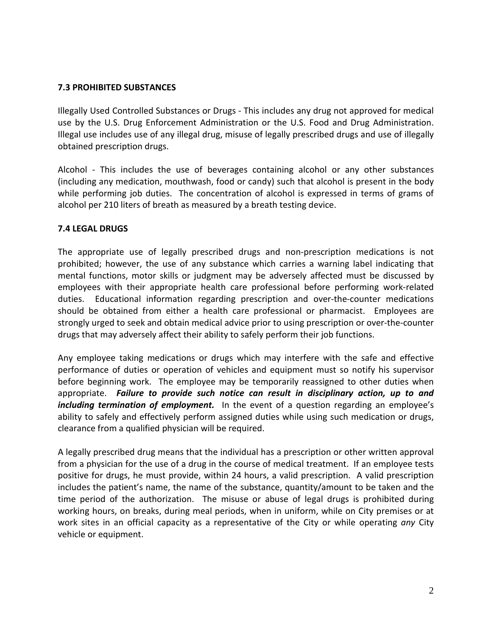## **7.3 PROHIBITED SUBSTANCES**

Illegally Used Controlled Substances or Drugs - This includes any drug not approved for medical use by the U.S. Drug Enforcement Administration or the U.S. Food and Drug Administration. Illegal use includes use of any illegal drug, misuse of legally prescribed drugs and use of illegally obtained prescription drugs.

Alcohol - This includes the use of beverages containing alcohol or any other substances (including any medication, mouthwash, food or candy) such that alcohol is present in the body while performing job duties. The concentration of alcohol is expressed in terms of grams of alcohol per 210 liters of breath as measured by a breath testing device.

#### **7.4 LEGAL DRUGS**

The appropriate use of legally prescribed drugs and non-prescription medications is not prohibited; however, the use of any substance which carries a warning label indicating that mental functions, motor skills or judgment may be adversely affected must be discussed by employees with their appropriate health care professional before performing work-related duties. Educational information regarding prescription and over-the-counter medications should be obtained from either a health care professional or pharmacist. Employees are strongly urged to seek and obtain medical advice prior to using prescription or over-the-counter drugs that may adversely affect their ability to safely perform their job functions.

Any employee taking medications or drugs which may interfere with the safe and effective performance of duties or operation of vehicles and equipment must so notify his supervisor before beginning work. The employee may be temporarily reassigned to other duties when appropriate. *Failure to provide such notice can result in disciplinary action, up to and including termination of employment.* In the event of a question regarding an employee's ability to safely and effectively perform assigned duties while using such medication or drugs, clearance from a qualified physician will be required.

A legally prescribed drug means that the individual has a prescription or other written approval from a physician for the use of a drug in the course of medical treatment. If an employee tests positive for drugs, he must provide, within 24 hours, a valid prescription. A valid prescription includes the patient's name, the name of the substance, quantity/amount to be taken and the time period of the authorization. The misuse or abuse of legal drugs is prohibited during working hours, on breaks, during meal periods, when in uniform, while on City premises or at work sites in an official capacity as a representative of the City or while operating *any* City vehicle or equipment.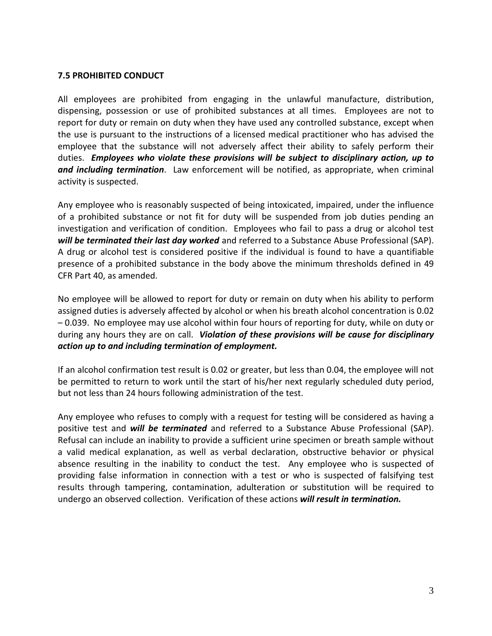#### **7.5 PROHIBITED CONDUCT**

All employees are prohibited from engaging in the unlawful manufacture, distribution, dispensing, possession or use of prohibited substances at all times. Employees are not to report for duty or remain on duty when they have used any controlled substance, except when the use is pursuant to the instructions of a licensed medical practitioner who has advised the employee that the substance will not adversely affect their ability to safely perform their duties. *Employees who violate these provisions will be subject to disciplinary action, up to and including termination*. Law enforcement will be notified, as appropriate, when criminal activity is suspected.

Any employee who is reasonably suspected of being intoxicated, impaired, under the influence of a prohibited substance or not fit for duty will be suspended from job duties pending an investigation and verification of condition. Employees who fail to pass a drug or alcohol test *will be terminated their last day worked* and referred to a Substance Abuse Professional (SAP). A drug or alcohol test is considered positive if the individual is found to have a quantifiable presence of a prohibited substance in the body above the minimum thresholds defined in 49 CFR Part 40, as amended.

No employee will be allowed to report for duty or remain on duty when his ability to perform assigned duties is adversely affected by alcohol or when his breath alcohol concentration is 0.02 – 0.039. No employee may use alcohol within four hours of reporting for duty, while on duty or during any hours they are on call. *Violation of these provisions will be cause for disciplinary action up to and including termination of employment.*

If an alcohol confirmation test result is 0.02 or greater, but less than 0.04, the employee will not be permitted to return to work until the start of his/her next regularly scheduled duty period, but not less than 24 hours following administration of the test.

Any employee who refuses to comply with a request for testing will be considered as having a positive test and *will be terminated* and referred to a Substance Abuse Professional (SAP). Refusal can include an inability to provide a sufficient urine specimen or breath sample without a valid medical explanation, as well as verbal declaration, obstructive behavior or physical absence resulting in the inability to conduct the test. Any employee who is suspected of providing false information in connection with a test or who is suspected of falsifying test results through tampering, contamination, adulteration or substitution will be required to undergo an observed collection. Verification of these actions *will result in termination.*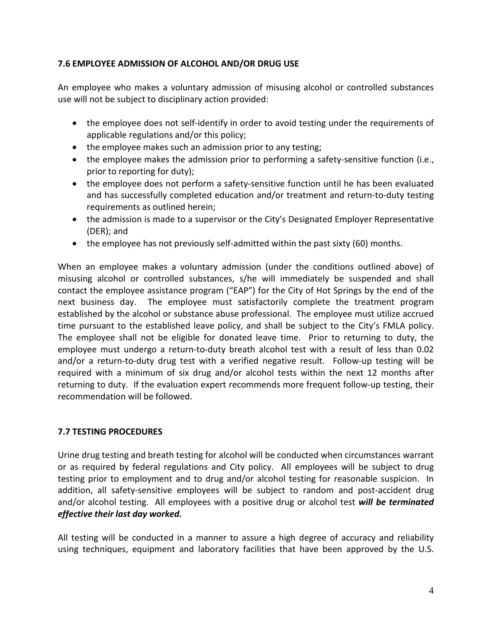# **7.6 EMPLOYEE ADMISSION OF ALCOHOL AND/OR DRUG USE**

An employee who makes a voluntary admission of misusing alcohol or controlled substances use will not be subject to disciplinary action provided:

- the employee does not self-identify in order to avoid testing under the requirements of applicable regulations and/or this policy;
- the employee makes such an admission prior to any testing;
- the employee makes the admission prior to performing a safety-sensitive function (i.e., prior to reporting for duty);
- the employee does not perform a safety-sensitive function until he has been evaluated and has successfully completed education and/or treatment and return-to-duty testing requirements as outlined herein;
- the admission is made to a supervisor or the City's Designated Employer Representative (DER); and
- the employee has not previously self-admitted within the past sixty (60) months.

When an employee makes a voluntary admission (under the conditions outlined above) of misusing alcohol or controlled substances, s/he will immediately be suspended and shall contact the employee assistance program ("EAP") for the City of Hot Springs by the end of the next business day. The employee must satisfactorily complete the treatment program established by the alcohol or substance abuse professional. The employee must utilize accrued time pursuant to the established leave policy, and shall be subject to the City's FMLA policy. The employee shall not be eligible for donated leave time. Prior to returning to duty, the employee must undergo a return-to-duty breath alcohol test with a result of less than 0.02 and/or a return-to-duty drug test with a verified negative result. Follow-up testing will be required with a minimum of six drug and/or alcohol tests within the next 12 months after returning to duty. If the evaluation expert recommends more frequent follow-up testing, their recommendation will be followed.

# **7.7 TESTING PROCEDURES**

Urine drug testing and breath testing for alcohol will be conducted when circumstances warrant or as required by federal regulations and City policy. All employees will be subject to drug testing prior to employment and to drug and/or alcohol testing for reasonable suspicion. In addition, all safety-sensitive employees will be subject to random and post-accident drug and/or alcohol testing. All employees with a positive drug or alcohol test *will be terminated effective their last day worked.* 

All testing will be conducted in a manner to assure a high degree of accuracy and reliability using techniques, equipment and laboratory facilities that have been approved by the U.S.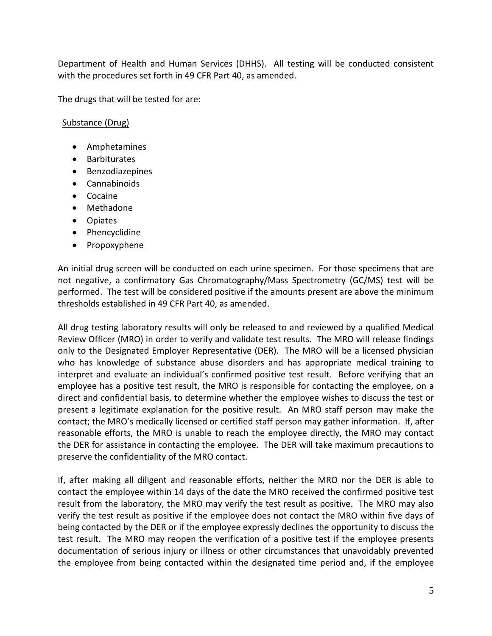Department of Health and Human Services (DHHS). All testing will be conducted consistent with the procedures set forth in 49 CFR Part 40, as amended.

The drugs that will be tested for are:

## Substance (Drug)

- Amphetamines
- Barbiturates
- Benzodiazepines
- Cannabinoids
- Cocaine
- Methadone
- Opiates
- Phencyclidine
- Propoxyphene

An initial drug screen will be conducted on each urine specimen. For those specimens that are not negative, a confirmatory Gas Chromatography/Mass Spectrometry (GC/MS) test will be performed. The test will be considered positive if the amounts present are above the minimum thresholds established in 49 CFR Part 40, as amended.

All drug testing laboratory results will only be released to and reviewed by a qualified Medical Review Officer (MRO) in order to verify and validate test results. The MRO will release findings only to the Designated Employer Representative (DER). The MRO will be a licensed physician who has knowledge of substance abuse disorders and has appropriate medical training to interpret and evaluate an individual's confirmed positive test result. Before verifying that an employee has a positive test result, the MRO is responsible for contacting the employee, on a direct and confidential basis, to determine whether the employee wishes to discuss the test or present a legitimate explanation for the positive result. An MRO staff person may make the contact; the MRO's medically licensed or certified staff person may gather information. If, after reasonable efforts, the MRO is unable to reach the employee directly, the MRO may contact the DER for assistance in contacting the employee. The DER will take maximum precautions to preserve the confidentiality of the MRO contact.

If, after making all diligent and reasonable efforts, neither the MRO nor the DER is able to contact the employee within 14 days of the date the MRO received the confirmed positive test result from the laboratory, the MRO may verify the test result as positive. The MRO may also verify the test result as positive if the employee does not contact the MRO within five days of being contacted by the DER or if the employee expressly declines the opportunity to discuss the test result. The MRO may reopen the verification of a positive test if the employee presents documentation of serious injury or illness or other circumstances that unavoidably prevented the employee from being contacted within the designated time period and, if the employee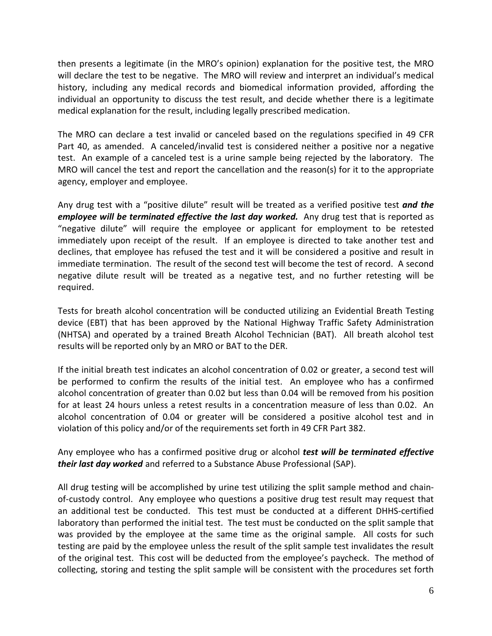then presents a legitimate (in the MRO's opinion) explanation for the positive test, the MRO will declare the test to be negative. The MRO will review and interpret an individual's medical history, including any medical records and biomedical information provided, affording the individual an opportunity to discuss the test result, and decide whether there is a legitimate medical explanation for the result, including legally prescribed medication.

The MRO can declare a test invalid or canceled based on the regulations specified in 49 CFR Part 40, as amended. A canceled/invalid test is considered neither a positive nor a negative test. An example of a canceled test is a urine sample being rejected by the laboratory. The MRO will cancel the test and report the cancellation and the reason(s) for it to the appropriate agency, employer and employee.

Any drug test with a "positive dilute" result will be treated as a verified positive test *and the employee will be terminated effective the last day worked.* Any drug test that is reported as "negative dilute" will require the employee or applicant for employment to be retested immediately upon receipt of the result. If an employee is directed to take another test and declines, that employee has refused the test and it will be considered a positive and result in immediate termination. The result of the second test will become the test of record. A second negative dilute result will be treated as a negative test, and no further retesting will be required.

Tests for breath alcohol concentration will be conducted utilizing an Evidential Breath Testing device (EBT) that has been approved by the National Highway Traffic Safety Administration (NHTSA) and operated by a trained Breath Alcohol Technician (BAT). All breath alcohol test results will be reported only by an MRO or BAT to the DER.

If the initial breath test indicates an alcohol concentration of 0.02 or greater, a second test will be performed to confirm the results of the initial test. An employee who has a confirmed alcohol concentration of greater than 0.02 but less than 0.04 will be removed from his position for at least 24 hours unless a retest results in a concentration measure of less than 0.02. An alcohol concentration of 0.04 or greater will be considered a positive alcohol test and in violation of this policy and/or of the requirements set forth in 49 CFR Part 382.

Any employee who has a confirmed positive drug or alcohol *test will be terminated effective their last day worked* and referred to a Substance Abuse Professional (SAP).

All drug testing will be accomplished by urine test utilizing the split sample method and chainof-custody control. Any employee who questions a positive drug test result may request that an additional test be conducted. This test must be conducted at a different DHHS-certified laboratory than performed the initial test. The test must be conducted on the split sample that was provided by the employee at the same time as the original sample. All costs for such testing are paid by the employee unless the result of the split sample test invalidates the result of the original test. This cost will be deducted from the employee's paycheck. The method of collecting, storing and testing the split sample will be consistent with the procedures set forth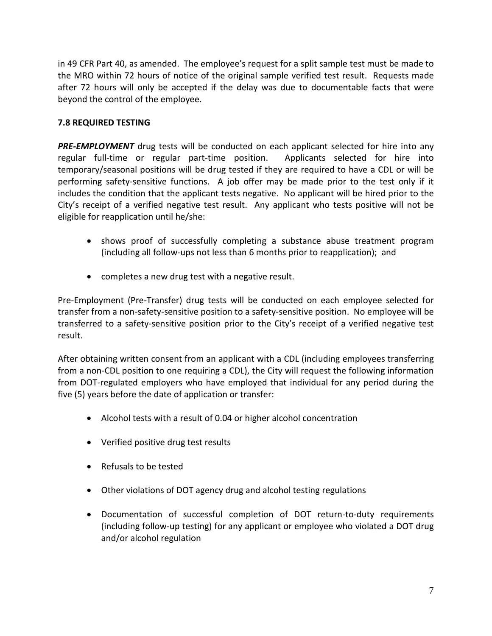in 49 CFR Part 40, as amended. The employee's request for a split sample test must be made to the MRO within 72 hours of notice of the original sample verified test result. Requests made after 72 hours will only be accepted if the delay was due to documentable facts that were beyond the control of the employee.

# **7.8 REQUIRED TESTING**

**PRE-EMPLOYMENT** drug tests will be conducted on each applicant selected for hire into any regular full-time or regular part-time position. Applicants selected for hire into temporary/seasonal positions will be drug tested if they are required to have a CDL or will be performing safety-sensitive functions. A job offer may be made prior to the test only if it includes the condition that the applicant tests negative. No applicant will be hired prior to the City's receipt of a verified negative test result. Any applicant who tests positive will not be eligible for reapplication until he/she:

- shows proof of successfully completing a substance abuse treatment program (including all follow-ups not less than 6 months prior to reapplication); and
- completes a new drug test with a negative result.

Pre-Employment (Pre-Transfer) drug tests will be conducted on each employee selected for transfer from a non-safety-sensitive position to a safety-sensitive position. No employee will be transferred to a safety-sensitive position prior to the City's receipt of a verified negative test result.

After obtaining written consent from an applicant with a CDL (including employees transferring from a non-CDL position to one requiring a CDL), the City will request the following information from DOT-regulated employers who have employed that individual for any period during the five (5) years before the date of application or transfer:

- Alcohol tests with a result of 0.04 or higher alcohol concentration
- Verified positive drug test results
- Refusals to be tested
- Other violations of DOT agency drug and alcohol testing regulations
- Documentation of successful completion of DOT return-to-duty requirements (including follow-up testing) for any applicant or employee who violated a DOT drug and/or alcohol regulation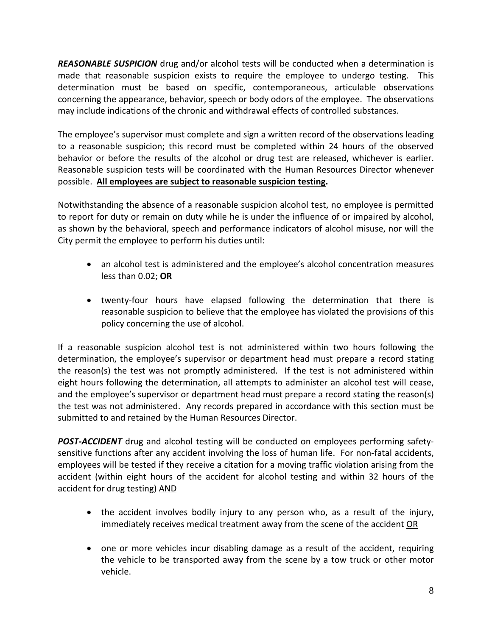*REASONABLE SUSPICION* drug and/or alcohol tests will be conducted when a determination is made that reasonable suspicion exists to require the employee to undergo testing. This determination must be based on specific, contemporaneous, articulable observations concerning the appearance, behavior, speech or body odors of the employee. The observations may include indications of the chronic and withdrawal effects of controlled substances.

The employee's supervisor must complete and sign a written record of the observations leading to a reasonable suspicion; this record must be completed within 24 hours of the observed behavior or before the results of the alcohol or drug test are released, whichever is earlier. Reasonable suspicion tests will be coordinated with the Human Resources Director whenever possible. **All employees are subject to reasonable suspicion testing.**

Notwithstanding the absence of a reasonable suspicion alcohol test, no employee is permitted to report for duty or remain on duty while he is under the influence of or impaired by alcohol, as shown by the behavioral, speech and performance indicators of alcohol misuse, nor will the City permit the employee to perform his duties until:

- an alcohol test is administered and the employee's alcohol concentration measures less than 0.02; **OR**
- twenty-four hours have elapsed following the determination that there is reasonable suspicion to believe that the employee has violated the provisions of this policy concerning the use of alcohol.

If a reasonable suspicion alcohol test is not administered within two hours following the determination, the employee's supervisor or department head must prepare a record stating the reason(s) the test was not promptly administered. If the test is not administered within eight hours following the determination, all attempts to administer an alcohol test will cease, and the employee's supervisor or department head must prepare a record stating the reason(s) the test was not administered. Any records prepared in accordance with this section must be submitted to and retained by the Human Resources Director.

*POST-ACCIDENT* drug and alcohol testing will be conducted on employees performing safetysensitive functions after any accident involving the loss of human life. For non-fatal accidents, employees will be tested if they receive a citation for a moving traffic violation arising from the accident (within eight hours of the accident for alcohol testing and within 32 hours of the accident for drug testing) AND

- the accident involves bodily injury to any person who, as a result of the injury, immediately receives medical treatment away from the scene of the accident OR
- one or more vehicles incur disabling damage as a result of the accident, requiring the vehicle to be transported away from the scene by a tow truck or other motor vehicle.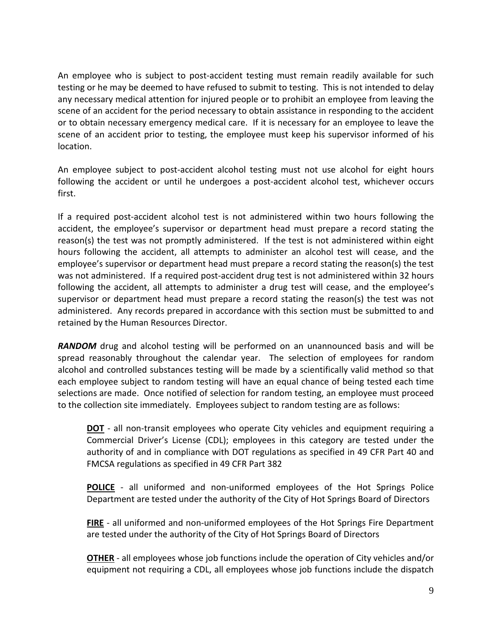An employee who is subject to post-accident testing must remain readily available for such testing or he may be deemed to have refused to submit to testing. This is not intended to delay any necessary medical attention for injured people or to prohibit an employee from leaving the scene of an accident for the period necessary to obtain assistance in responding to the accident or to obtain necessary emergency medical care. If it is necessary for an employee to leave the scene of an accident prior to testing, the employee must keep his supervisor informed of his location.

An employee subject to post-accident alcohol testing must not use alcohol for eight hours following the accident or until he undergoes a post-accident alcohol test, whichever occurs first.

If a required post-accident alcohol test is not administered within two hours following the accident, the employee's supervisor or department head must prepare a record stating the reason(s) the test was not promptly administered. If the test is not administered within eight hours following the accident, all attempts to administer an alcohol test will cease, and the employee's supervisor or department head must prepare a record stating the reason(s) the test was not administered. If a required post-accident drug test is not administered within 32 hours following the accident, all attempts to administer a drug test will cease, and the employee's supervisor or department head must prepare a record stating the reason(s) the test was not administered. Any records prepared in accordance with this section must be submitted to and retained by the Human Resources Director.

**RANDOM** drug and alcohol testing will be performed on an unannounced basis and will be spread reasonably throughout the calendar year. The selection of employees for random alcohol and controlled substances testing will be made by a scientifically valid method so that each employee subject to random testing will have an equal chance of being tested each time selections are made. Once notified of selection for random testing, an employee must proceed to the collection site immediately. Employees subject to random testing are as follows:

**DOT** - all non-transit employees who operate City vehicles and equipment requiring a Commercial Driver's License (CDL); employees in this category are tested under the authority of and in compliance with DOT regulations as specified in 49 CFR Part 40 and FMCSA regulations as specified in 49 CFR Part 382

**POLICE** - all uniformed and non-uniformed employees of the Hot Springs Police Department are tested under the authority of the City of Hot Springs Board of Directors

**FIRE** - all uniformed and non-uniformed employees of the Hot Springs Fire Department are tested under the authority of the City of Hot Springs Board of Directors

**OTHER** - all employees whose job functions include the operation of City vehicles and/or equipment not requiring a CDL, all employees whose job functions include the dispatch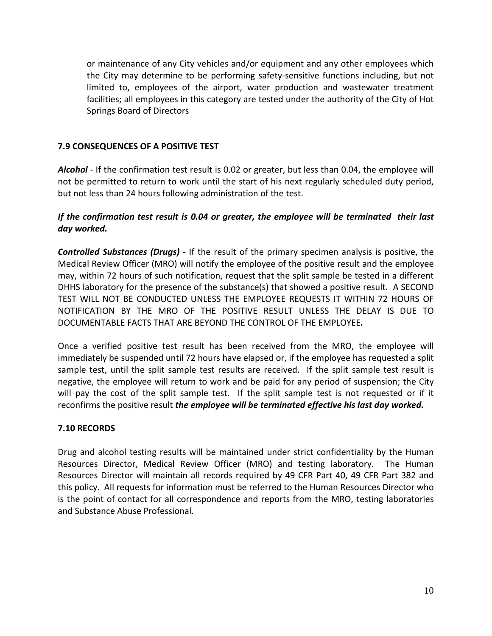or maintenance of any City vehicles and/or equipment and any other employees which the City may determine to be performing safety-sensitive functions including, but not limited to, employees of the airport, water production and wastewater treatment facilities; all employees in this category are tested under the authority of the City of Hot Springs Board of Directors

# **7.9 CONSEQUENCES OF A POSITIVE TEST**

*Alcohol* - If the confirmation test result is 0.02 or greater, but less than 0.04, the employee will not be permitted to return to work until the start of his next regularly scheduled duty period, but not less than 24 hours following administration of the test.

# *If the confirmation test result is 0.04 or greater, the employee will be terminated their last day worked.*

*Controlled Substances (Drugs)* - If the result of the primary specimen analysis is positive, the Medical Review Officer (MRO) will notify the employee of the positive result and the employee may, within 72 hours of such notification, request that the split sample be tested in a different DHHS laboratory for the presence of the substance(s) that showed a positive result*.* A SECOND TEST WILL NOT BE CONDUCTED UNLESS THE EMPLOYEE REQUESTS IT WITHIN 72 HOURS OF NOTIFICATION BY THE MRO OF THE POSITIVE RESULT UNLESS THE DELAY IS DUE TO DOCUMENTABLE FACTS THAT ARE BEYOND THE CONTROL OF THE EMPLOYEE*.* 

Once a verified positive test result has been received from the MRO, the employee will immediately be suspended until 72 hours have elapsed or, if the employee has requested a split sample test, until the split sample test results are received. If the split sample test result is negative, the employee will return to work and be paid for any period of suspension; the City will pay the cost of the split sample test. If the split sample test is not requested or if it reconfirms the positive result *the employee will be terminated effective his last day worked.*

# **7.10 RECORDS**

Drug and alcohol testing results will be maintained under strict confidentiality by the Human Resources Director, Medical Review Officer (MRO) and testing laboratory. The Human Resources Director will maintain all records required by 49 CFR Part 40, 49 CFR Part 382 and this policy. All requests for information must be referred to the Human Resources Director who is the point of contact for all correspondence and reports from the MRO, testing laboratories and Substance Abuse Professional.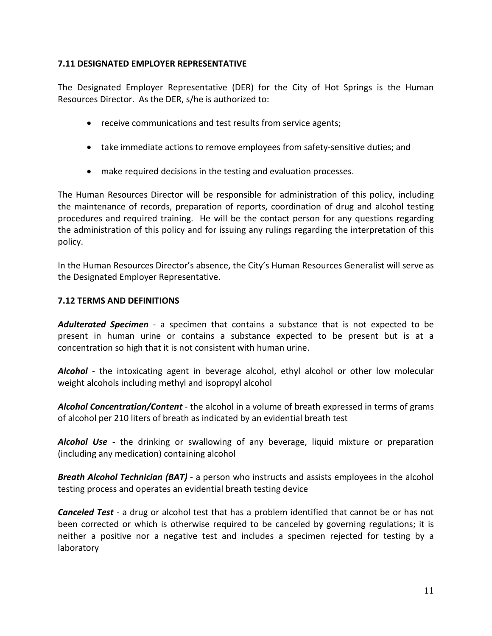# **7.11 DESIGNATED EMPLOYER REPRESENTATIVE**

The Designated Employer Representative (DER) for the City of Hot Springs is the Human Resources Director. As the DER, s/he is authorized to:

- receive communications and test results from service agents;
- take immediate actions to remove employees from safety-sensitive duties; and
- make required decisions in the testing and evaluation processes.

The Human Resources Director will be responsible for administration of this policy, including the maintenance of records, preparation of reports, coordination of drug and alcohol testing procedures and required training. He will be the contact person for any questions regarding the administration of this policy and for issuing any rulings regarding the interpretation of this policy.

In the Human Resources Director's absence, the City's Human Resources Generalist will serve as the Designated Employer Representative.

#### **7.12 TERMS AND DEFINITIONS**

*Adulterated Specimen* - a specimen that contains a substance that is not expected to be present in human urine or contains a substance expected to be present but is at a concentration so high that it is not consistent with human urine.

*Alcohol* - the intoxicating agent in beverage alcohol, ethyl alcohol or other low molecular weight alcohols including methyl and isopropyl alcohol

*Alcohol Concentration/Content* - the alcohol in a volume of breath expressed in terms of grams of alcohol per 210 liters of breath as indicated by an evidential breath test

*Alcohol Use* - the drinking or swallowing of any beverage, liquid mixture or preparation (including any medication) containing alcohol

*Breath Alcohol Technician (BAT)* - a person who instructs and assists employees in the alcohol testing process and operates an evidential breath testing device

*Canceled Test* - a drug or alcohol test that has a problem identified that cannot be or has not been corrected or which is otherwise required to be canceled by governing regulations; it is neither a positive nor a negative test and includes a specimen rejected for testing by a laboratory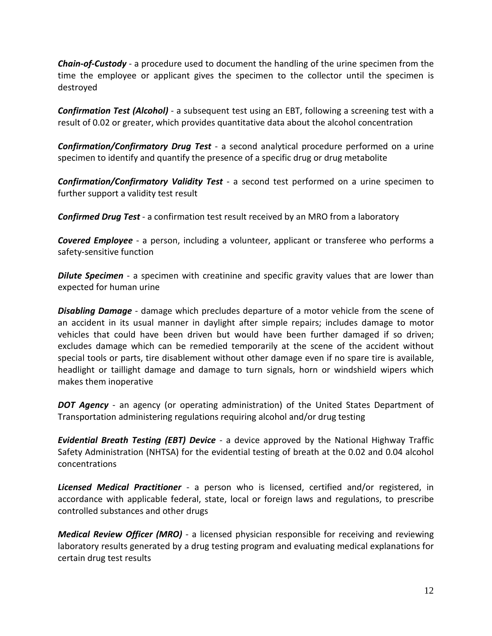*Chain-of-Custody* - a procedure used to document the handling of the urine specimen from the time the employee or applicant gives the specimen to the collector until the specimen is destroyed

*Confirmation Test (Alcohol)* - a subsequent test using an EBT, following a screening test with a result of 0.02 or greater, which provides quantitative data about the alcohol concentration

*Confirmation/Confirmatory Drug Test* - a second analytical procedure performed on a urine specimen to identify and quantify the presence of a specific drug or drug metabolite

*Confirmation/Confirmatory Validity Test* - a second test performed on a urine specimen to further support a validity test result

*Confirmed Drug Test* - a confirmation test result received by an MRO from a laboratory

*Covered Employee* - a person, including a volunteer, applicant or transferee who performs a safety-sensitive function

**Dilute Specimen** - a specimen with creatinine and specific gravity values that are lower than expected for human urine

*Disabling Damage* - damage which precludes departure of a motor vehicle from the scene of an accident in its usual manner in daylight after simple repairs; includes damage to motor vehicles that could have been driven but would have been further damaged if so driven; excludes damage which can be remedied temporarily at the scene of the accident without special tools or parts, tire disablement without other damage even if no spare tire is available, headlight or taillight damage and damage to turn signals, horn or windshield wipers which makes them inoperative

*DOT Agency* - an agency (or operating administration) of the United States Department of Transportation administering regulations requiring alcohol and/or drug testing

*Evidential Breath Testing (EBT) Device* - a device approved by the National Highway Traffic Safety Administration (NHTSA) for the evidential testing of breath at the 0.02 and 0.04 alcohol concentrations

*Licensed Medical Practitioner* - a person who is licensed, certified and/or registered, in accordance with applicable federal, state, local or foreign laws and regulations, to prescribe controlled substances and other drugs

*Medical Review Officer (MRO)* - a licensed physician responsible for receiving and reviewing laboratory results generated by a drug testing program and evaluating medical explanations for certain drug test results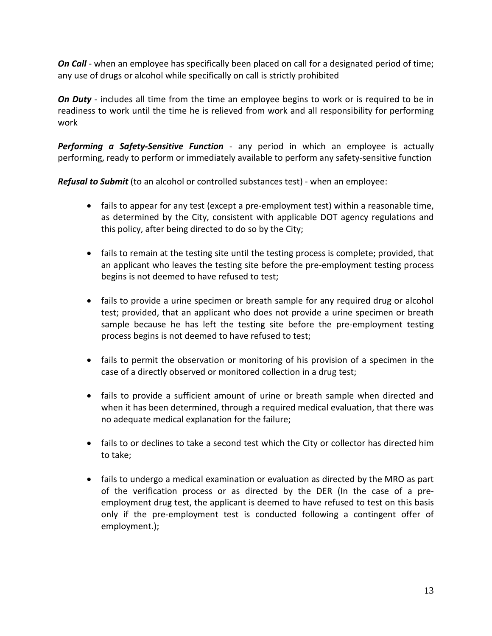*On Call* - when an employee has specifically been placed on call for a designated period of time; any use of drugs or alcohol while specifically on call is strictly prohibited

*On Duty* - includes all time from the time an employee begins to work or is required to be in readiness to work until the time he is relieved from work and all responsibility for performing work

*Performing a Safety-Sensitive Function* - any period in which an employee is actually performing, ready to perform or immediately available to perform any safety-sensitive function

*Refusal to Submit* (to an alcohol or controlled substances test) - when an employee:

- fails to appear for any test (except a pre-employment test) within a reasonable time, as determined by the City, consistent with applicable DOT agency regulations and this policy, after being directed to do so by the City;
- fails to remain at the testing site until the testing process is complete; provided, that an applicant who leaves the testing site before the pre-employment testing process begins is not deemed to have refused to test;
- fails to provide a urine specimen or breath sample for any required drug or alcohol test; provided, that an applicant who does not provide a urine specimen or breath sample because he has left the testing site before the pre-employment testing process begins is not deemed to have refused to test;
- fails to permit the observation or monitoring of his provision of a specimen in the case of a directly observed or monitored collection in a drug test;
- fails to provide a sufficient amount of urine or breath sample when directed and when it has been determined, through a required medical evaluation, that there was no adequate medical explanation for the failure;
- fails to or declines to take a second test which the City or collector has directed him to take;
- fails to undergo a medical examination or evaluation as directed by the MRO as part of the verification process or as directed by the DER (In the case of a preemployment drug test, the applicant is deemed to have refused to test on this basis only if the pre-employment test is conducted following a contingent offer of employment.);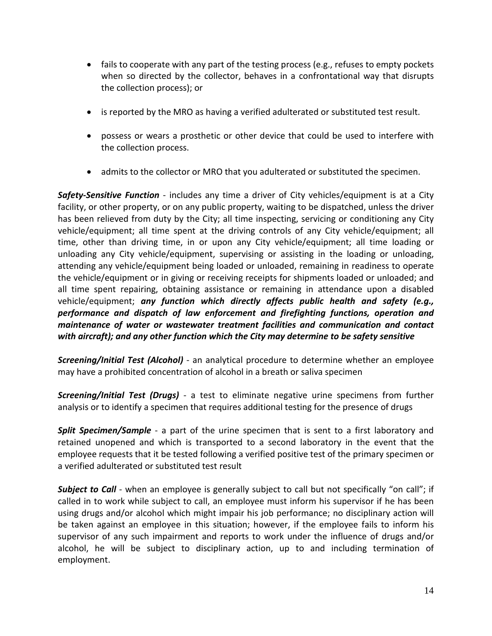- fails to cooperate with any part of the testing process (e.g., refuses to empty pockets when so directed by the collector, behaves in a confrontational way that disrupts the collection process); or
- is reported by the MRO as having a verified adulterated or substituted test result.
- possess or wears a prosthetic or other device that could be used to interfere with the collection process.
- admits to the collector or MRO that you adulterated or substituted the specimen.

*Safety-Sensitive Function* - includes any time a driver of City vehicles/equipment is at a City facility, or other property, or on any public property, waiting to be dispatched, unless the driver has been relieved from duty by the City; all time inspecting, servicing or conditioning any City vehicle/equipment; all time spent at the driving controls of any City vehicle/equipment; all time, other than driving time, in or upon any City vehicle/equipment; all time loading or unloading any City vehicle/equipment, supervising or assisting in the loading or unloading, attending any vehicle/equipment being loaded or unloaded, remaining in readiness to operate the vehicle/equipment or in giving or receiving receipts for shipments loaded or unloaded; and all time spent repairing, obtaining assistance or remaining in attendance upon a disabled vehicle/equipment; *any function which directly affects public health and safety (e.g., performance and dispatch of law enforcement and firefighting functions, operation and maintenance of water or wastewater treatment facilities and communication and contact with aircraft); and any other function which the City may determine to be safety sensitive*

*Screening/Initial Test (Alcohol)* - an analytical procedure to determine whether an employee may have a prohibited concentration of alcohol in a breath or saliva specimen

*Screening/Initial Test (Drugs)* - a test to eliminate negative urine specimens from further analysis or to identify a specimen that requires additional testing for the presence of drugs

**Split Specimen/Sample** - a part of the urine specimen that is sent to a first laboratory and retained unopened and which is transported to a second laboratory in the event that the employee requests that it be tested following a verified positive test of the primary specimen or a verified adulterated or substituted test result

**Subject to Call** - when an employee is generally subject to call but not specifically "on call"; if called in to work while subject to call, an employee must inform his supervisor if he has been using drugs and/or alcohol which might impair his job performance; no disciplinary action will be taken against an employee in this situation; however, if the employee fails to inform his supervisor of any such impairment and reports to work under the influence of drugs and/or alcohol, he will be subject to disciplinary action, up to and including termination of employment.